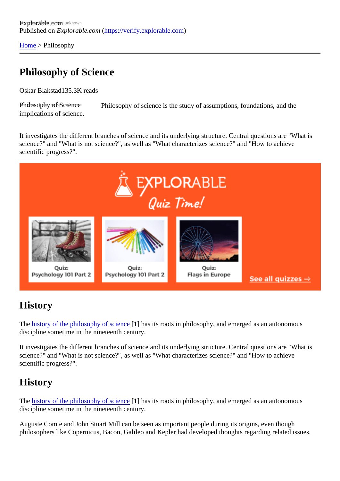[Home](https://verify.explorable.com/) > Philosophy

## Philosophy of Science

Oskar Blakstat 35.3K reads

Philosophy of Science Philosophy of science is the study of assumptions, foundations, and the implications of science.

It investigates the different branches of science and its underlying structure. Central questions are "What i science?" and "What is not science?", as well as "What characterizes science?" and "How to achieve scientific progress?".

#### **History**

The [history of the philosophy of scien](https://verify.explorable.com/history-of-the-philosophy-of-science)ce has its roots in philosophy, and emerged as an autonomous discipline sometime in the nineteenth century.

It investigates the different branches of science and its underlying structure. Central questions are "What i science?" and "What is not science?", as well as "What characterizes science?" and "How to achieve scientific progress?".

#### **History**

The [history of the philosophy of scien](https://verify.explorable.com/history-of-the-philosophy-of-science)ce has its roots in philosophy, and emerged as an autonomous discipline sometime in the nineteenth century.

Auguste Comte and John Stuart Mill can be seen as important people during its origins, even though philosophers like Copernicus, Bacon, Galileo and Kepler had developed thoughts regarding related issues.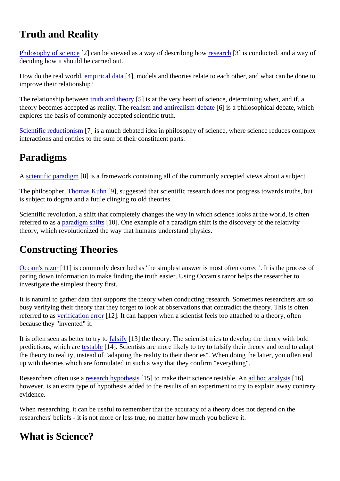# Truth and Reality

[Philosophy of scienc](http://en.wikipedia.org/wiki/Philosophy_of_science)e?] can be viewed as a way of describing howearch[3] is conducted, and a way of deciding how it should be carried out.

How do the real worl[d, empirical dat](https://verify.explorable.com/empirical-evidence)a<sup>[4]</sup>, models and theories relate to each other, and what can be done to improve their relationship?

The relationship between theory<sup>5</sup>] is at the very heart of science, determining when, and if, a theory becomes accepted as reality. [The realism and antirealism-deb](https://verify.explorable.com/realism-and-antirealism)ated is a philosophical debate, which explores the basis of commonly accepted scientific truth.

[Scientific reductionism](https://verify.explorable.com/scientific-reductionism)<sup>[7]</sup> is a much debated idea in philosophy of science, where science reduces complex interactions and entities to the sum of their constituent parts.

# Paradigms

A [scientific paradigm](https://verify.explorable.com/what-is-a-paradigm)[8] is a framework containing all of the commonly accepted views about a subject.

The philosopherThomas Kuhn[9], suggested that scientific research does not progress towards truths, but is subject to dogma and a futile clinging to old theories.

Scientific revolution, a shift that completely changes the way in which science looks at the world, is often referred to as paradigm shift \$10]. One example of [a paradigm shift](https://verify.explorable.com/paradigm-shift) is the discovery of the relativity theory, which revolutionized the way that humans understand physics.

## Constructing Theories

[Occam's razo](https://verify.explorable.com/occams-razor)r 11 is commonly described as 'the simplest answer is most often correct'. It is the process of paring down information to make finding the truth easier. Using Occam's razor helps the researcher to investigate the simplest theory first.

It is natural to gather data that supports the theory when conducting research. Sometimes researchers are busy verifying their theory that they forget to look at observations that contradict the theory. This is often referred to aserification error<sup>[12]</sup>. It can happen when a scientist feels too attached to a theory, often because they "invented" it.

It is often seen as better to tryftosify [13] the theory. The scientist tries to develop the theory with bold predictions, which artestable [14]. Scientists are more likely to try to falsify their theory and tend to adapt the theory to reality, instead of "adapting the reality to their theories". When doing the latter, you often end up with theories which are formulated in such a way that they confirm "everything".

Researchers often us externed hypothes is 1 to make their science testable. An hoc analysis 6] however, is an extra type of hypothesis added to the results of an experiment to try to explain away contra evidence.

When researching, it can be useful to remember that the accuracy of a theory does not depend on the researchers' beliefs - it is not more or less true, no matter how much you believe it.

## What is Science?